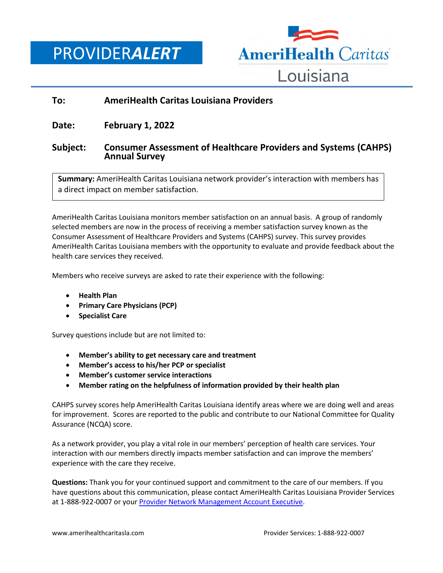PROVIDER*ALERT*



## **To: AmeriHealth Caritas Louisiana Providers**

**Date: February 1, 2022**

## **Subject: Consumer Assessment of Healthcare Providers and Systems (CAHPS) Annual Survey**

**Summary:** AmeriHealth Caritas Louisiana network provider's interaction with members has a direct impact on member satisfaction.

AmeriHealth Caritas Louisiana monitors member satisfaction on an annual basis. A group of randomly selected members are now in the process of receiving a member satisfaction survey known as the Consumer Assessment of Healthcare Providers and Systems (CAHPS) survey. This survey provides AmeriHealth Caritas Louisiana members with the opportunity to evaluate and provide feedback about the health care services they received.

Members who receive surveys are asked to rate their experience with the following:

- **Health Plan**
- **Primary Care Physicians (PCP)**
- **Specialist Care**

Survey questions include but are not limited to:

- **Member's ability to get necessary care and treatment**
- **Member's access to his/her PCP or specialist**
- **Member's customer service interactions**
- **Member rating on the helpfulness of information provided by their health plan**

CAHPS survey scores help AmeriHealth Caritas Louisiana identify areas where we are doing well and areas for improvement. Scores are reported to the public and contribute to our National Committee for Quality Assurance (NCQA) score.

As a network provider, you play a vital role in our members' perception of health care services. Your interaction with our members directly impacts member satisfaction and can improve the members' experience with the care they receive.

**Questions:** Thank you for your continued support and commitment to the care of our members. If you have questions about this communication, please contact AmeriHealth Caritas Louisiana Provider Services at 1-888-922-0007 or your [Provider Network Management Account Executive.](http://www.amerihealthcaritasla.com/pdf/provider/account-executives.pdf)